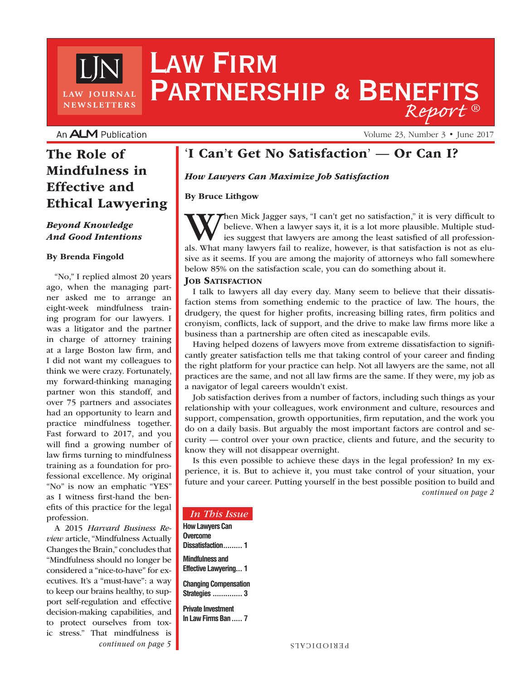# LAW FIRM PARTNERSHIP & BENEFIT *Report* ®

An **ALM** Publication

**LAW JOURNAL NEWSLETTERS** 

# The Role of Mindfulness in Effective and Ethical Lawyering

### *Beyond Knowledge And Good Intentions*

#### By Brenda Fingold

"No," I replied almost 20 years ago, when the managing partner asked me to arrange an eight-week mindfulness training program for our lawyers. I was a litigator and the partner in charge of attorney training at a large Boston law firm, and I did not want my colleagues to think we were crazy. Fortunately, my forward-thinking managing partner won this standoff, and over 75 partners and associates had an opportunity to learn and practice mindfulness together. Fast forward to 2017, and you will find a growing number of law firms turning to mindfulness training as a foundation for professional excellence. My original "No" is now an emphatic "YES" as I witness first-hand the benefits of this practice for the legal profession.

A 2015 *Harvard Business Review* article, "Mindfulness Actually Changes the Brain," concludes that "Mindfulness should no longer be considered a "nice-to-have" for executives. It's a "must-have": a way to keep our brains healthy, to support self-regulation and effective decision-making capabilities, and to protect ourselves from toxic stress." That mindfulness is *continued on page 5*

# 'I Can't Get No Satisfaction' — Or Can I?

Volume 23, Number 3 • June 2017

#### *How Lawyers Can Maximize Job Satisfaction*

### By Bruce Lithgow

Then Mick Jagger says, "I can't get no satisfaction," it is very difficult to believe. When a lawyer says it, it is a lot more plausible. Multiple studies suggest that lawyers are among the least satisfied of all professionals. What many lawyers fail to realize, however, is that satisfaction is not as elusive as it seems. If you are among the majority of attorneys who fall somewhere below 85% on the satisfaction scale, you can do something about it.

#### **JOB SATISFACTION**

I talk to lawyers all day every day. Many seem to believe that their dissatisfaction stems from something endemic to the practice of law. The hours, the drudgery, the quest for higher profits, increasing billing rates, firm politics and cronyism, conflicts, lack of support, and the drive to make law firms more like a business than a partnership are often cited as inescapable evils.

Having helped dozens of lawyers move from extreme dissatisfaction to significantly greater satisfaction tells me that taking control of your career and finding the right platform for your practice can help. Not all lawyers are the same, not all practices are the same, and not all law firms are the same. If they were, my job as a navigator of legal careers wouldn't exist.

Job satisfaction derives from a number of factors, including such things as your relationship with your colleagues, work environment and culture, resources and support, compensation, growth opportunities, firm reputation, and the work you do on a daily basis. But arguably the most important factors are control and security — control over your own practice, clients and future, and the security to know they will not disappear overnight.

Is this even possible to achieve these days in the legal profession? In my experience, it is. But to achieve it, you must take control of your situation, your future and your career. Putting yourself in the best possible position to build and *continued on page 2*

#### *In This Issue*

**How Lawyers Can Overcome Dissatisfaction......... 1 Mindfulness and Effective Lawyering... 1**

**Changing Compensation**

**Strategies .............. 3 Private Investment**

**In Law Firms Ban..... 7**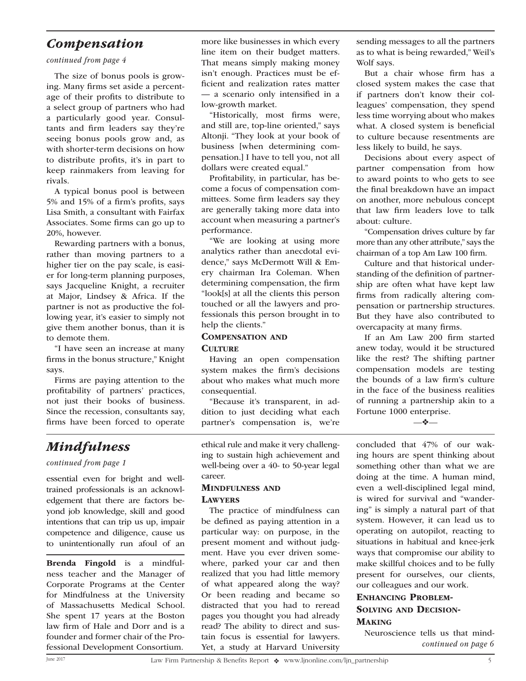# *Compensation*

#### *continued from page 4*

The size of bonus pools is growing. Many firms set aside a percentage of their profits to distribute to a select group of partners who had a particularly good year. Consultants and firm leaders say they're seeing bonus pools grow and, as with shorter-term decisions on how to distribute profits, it's in part to keep rainmakers from leaving for rivals.

A typical bonus pool is between 5% and 15% of a firm's profits, says Lisa Smith, a consultant with Fairfax Associates. Some firms can go up to 20%, however.

Rewarding partners with a bonus, rather than moving partners to a higher tier on the pay scale, is easier for long-term planning purposes, says Jacqueline Knight, a recruiter at Major, Lindsey & Africa. If the partner is not as productive the following year, it's easier to simply not give them another bonus, than it is to demote them.

"I have seen an increase at many firms in the bonus structure," Knight says.

Firms are paying attention to the profitability of partners' practices, not just their books of business. Since the recession, consultants say, firms have been forced to operate

# *Mindfulness*

#### *continued from page 1*

essential even for bright and welltrained professionals is an acknowledgement that there are factors beyond job knowledge, skill and good intentions that can trip us up, impair competence and diligence, cause us to unintentionally run afoul of an

Brenda Fingold is a mindfulness teacher and the Manager of Corporate Programs at the Center for Mindfulness at the University of Massachusetts Medical School. She spent 17 years at the Boston law firm of Hale and Dorr and is a founder and former chair of the Professional Development Consortium.

more like businesses in which every line item on their budget matters. That means simply making money isn't enough. Practices must be efficient and realization rates matter — a scenario only intensified in a low-growth market.

"Historically, most firms were, and still are, top-line oriented," says Altonji. "They look at your book of business [when determining compensation.] I have to tell you, not all dollars were created equal."

Profitability, in particular, has become a focus of compensation committees. Some firm leaders say they are generally taking more data into account when measuring a partner's performance.

"We are looking at using more analytics rather than anecdotal evidence," says McDermott Will & Emery chairman Ira Coleman. When determining compensation, the firm "look[s] at all the clients this person touched or all the lawyers and professionals this person brought in to help the clients."

#### Compensation and CILTURE

Having an open compensation system makes the firm's decisions about who makes what much more consequential.

"Because it's transparent, in addition to just deciding what each partner's compensation is, we're

ethical rule and make it very challenging to sustain high achievement and well-being over a 40- to 50-year legal career.

#### Mindfulness and

#### **LAWYERS**

The practice of mindfulness can be defined as paying attention in a particular way: on purpose, in the present moment and without judgment. Have you ever driven somewhere, parked your car and then realized that you had little memory of what appeared along the way? Or been reading and became so distracted that you had to reread pages you thought you had already read? The ability to direct and sustain focus is essential for lawyers. Yet, a study at Harvard University sending messages to all the partners as to what is being rewarded," Weil's Wolf says.

But a chair whose firm has a closed system makes the case that if partners don't know their colleagues' compensation, they spend less time worrying about who makes what. A closed system is beneficial to culture because resentments are less likely to build, he says.

Decisions about every aspect of partner compensation from how to award points to who gets to see the final breakdown have an impact on another, more nebulous concept that law firm leaders love to talk about: culture.

"Compensation drives culture by far more than any other attribute," says the chairman of a top Am Law 100 firm.

Culture and that historical understanding of the definition of partnership are often what have kept law firms from radically altering compensation or partnership structures. But they have also contributed to overcapacity at many firms.

If an Am Law 200 firm started anew today, would it be structured like the rest? The shifting partner compensation models are testing the bounds of a law firm's culture in the face of the business realities of running a partnership akin to a Fortune 1000 enterprise.

—❖—

concluded that 47% of our waking hours are spent thinking about something other than what we are doing at the time. A human mind, even a well-disciplined legal mind, is wired for survival and "wandering" is simply a natural part of that system. However, it can lead us to operating on autopilot, reacting to situations in habitual and knee-jerk ways that compromise our ability to make skillful choices and to be fully present for ourselves, our clients, our colleagues and our work.

#### Enhancing Problem-

### Solving and Decision-**MAKING**

Neuroscience tells us that mind*continued on page 6*